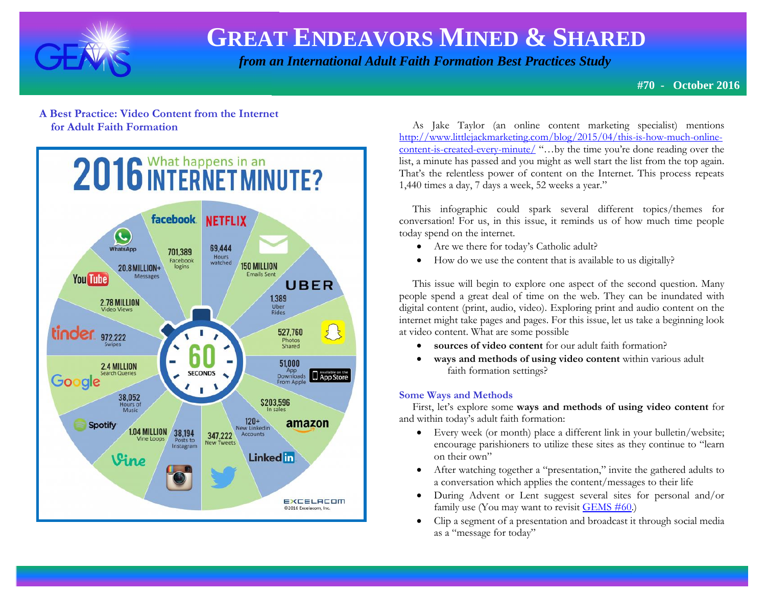

 *from an International Adult Faith Formation Best Practices Study*

**#70 - October 2016**

### **A Best Practice: Video Content from the Internet for Adult Faith Formation**



 As Jake Taylor (an online content marketing specialist) mentions [http://www.littlejackmarketing.com/blog/2015/04/this-is-how-much-online](http://www.littlejackmarketing.com/blog/2015/04/this-is-how-much-online-content-is-created-every-minute/)[content-is-created-every-minute/](http://www.littlejackmarketing.com/blog/2015/04/this-is-how-much-online-content-is-created-every-minute/) "…by the time you're done reading over the list, a minute has passed and you might as well start the list from the top again. That's the relentless power of content on the Internet. This process repeats 1,440 times a day, 7 days a week, 52 weeks a year."

 This infographic could spark several different topics/themes for conversation! For us, in this issue, it reminds us of how much time people today spend on the internet.

- Are we there for today's Catholic adult?
- How do we use the content that is available to us digitally?

 This issue will begin to explore one aspect of the second question. Many people spend a great deal of time on the web. They can be inundated with digital content (print, audio, video). Exploring print and audio content on the internet might take pages and pages. For this issue, let us take a beginning look at video content. What are some possible

- **sources of video content** for our adult faith formation?
- **ways and methods of using video content** within various adult faith formation settings?

### **Some Ways and Methods**

 First, let's explore some **ways and methods of using video content** for and within today's adult faith formation:

- Every week (or month) place a different link in your bulletin/website; encourage parishioners to utilize these sites as they continue to "learn on their own"
- After watching together a "presentation," invite the gathered adults to a conversation which applies the content/messages to their life
- During Advent or Lent suggest several sites for personal and/or family use (You may want to revisit  $GEMS \# 60$ .)
- Clip a segment of a presentation and broadcast it through social media as a "message for today"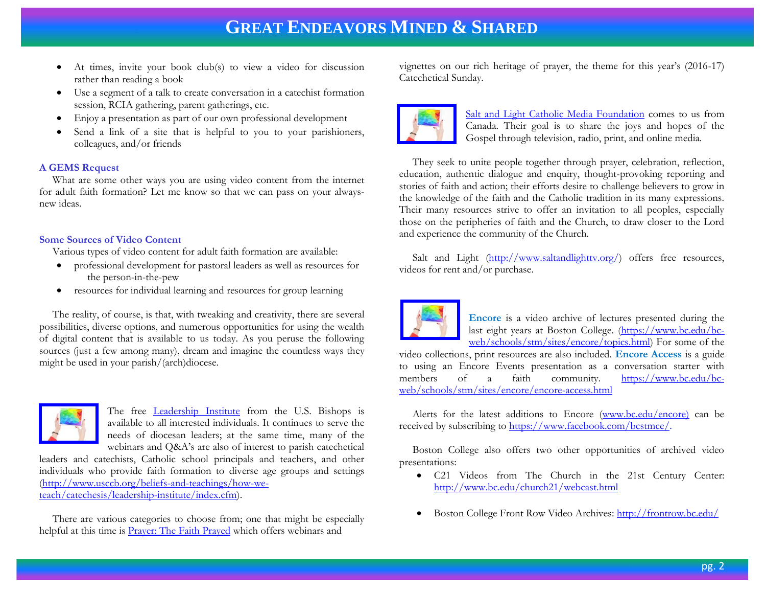- At times, invite your book club(s) to view a video for discussion rather than reading a book
- Use a segment of a talk to create conversation in a catechist formation session, RCIA gathering, parent gatherings, etc.
- Enjoy a presentation as part of our own professional development
- Send a link of a site that is helpful to you to your parishioners, colleagues, and/or friends

### **A GEMS Request**

 What are some other ways you are using video content from the internet for adult faith formation? Let me know so that we can pass on your alwaysnew ideas.

### **Some Sources of Video Content**

Various types of video content for adult faith formation are available:

- professional development for pastoral leaders as well as resources for the person-in-the-pew
- resources for individual learning and resources for group learning

 The reality, of course, is that, with tweaking and creativity, there are several possibilities, diverse options, and numerous opportunities for using the wealth of digital content that is available to us today. As you peruse the following sources (just a few among many), dream and imagine the countless ways they might be used in your parish/(arch)diocese.



The free [Leadership Institute](http://www.usccb.org/beliefs-and-teachings/how-we-teach/catechesis/leadership-institute/index.cfm) from the U.S. Bishops is available to all interested individuals. It continues to serve the needs of diocesan leaders; at the same time, many of the webinars and Q&A's are also of interest to parish catechetical

leaders and catechists, Catholic school principals and teachers, and other individuals who provide faith formation to diverse age groups and settings [\(http://www.usccb.org/beliefs-and-teachings/how-we](http://www.usccb.org/beliefs-and-teachings/how-we-teach/catechesis/leadership-institute/index.cfm)[teach/catechesis/leadership-institute/index.cfm\)](http://www.usccb.org/beliefs-and-teachings/how-we-teach/catechesis/leadership-institute/index.cfm).

 There are various categories to choose from; one that might be especially helpful at this time is **Prayer:** The Faith Prayed which offers webinars and

vignettes on our rich heritage of prayer, the theme for this year's (2016-17) Catechetical Sunday.



[Salt and Light Catholic Media Foundation](http://www.saltandlighttv.org/) comes to us from Canada. Their goal is to share the joys and hopes of the Gospel through television, radio, print, and online media.

 They seek to unite people together through prayer, celebration, reflection, education, authentic dialogue and enquiry, thought-provoking reporting and stories of faith and action; their efforts desire to challenge believers to grow in the knowledge of the faith and the Catholic tradition in its many expressions. Their many resources strive to offer an invitation to all peoples, especially those on the peripheries of faith and the Church, to draw closer to the Lord and experience the community of the Church.

Salt and Light (http://www.saltandlightty.org/) offers free resources, videos for rent and/or purchase.



**Encore** is a video archive of lectures presented during the last eight years at Boston College. [\(https://www.bc.edu/bc](https://www.bc.edu/bc-web/schools/stm/sites/encore/topics.html)[web/schools/stm/sites/encore/topics.html\)](https://www.bc.edu/bc-web/schools/stm/sites/encore/topics.html) For some of the

video collections, print resources are also included. **Encore Access** is a guide to using an Encore Events presentation as a conversation starter with members of a faith community. [https://www.bc.edu/bc](https://www.bc.edu/bc-web/schools/stm/sites/encore/encore-access.html)[web/schools/stm/sites/encore/encore-access.html](https://www.bc.edu/bc-web/schools/stm/sites/encore/encore-access.html)

 Alerts for the latest additions to Encore [\(www.bc.edu/encore\)](http://www.bc.edu/encore) can be received by subscribing to [https://www.facebook.com/bcstmce/.](https://www.facebook.com/bcstmce/)

 Boston College also offers two other opportunities of archived video presentations:

- C21 Videos from The Church in the 21st Century Center: <http://www.bc.edu/church21/webcast.html>
- Boston College Front Row Video Archives[: http://frontrow.bc.edu/](http://frontrow.bc.edu/)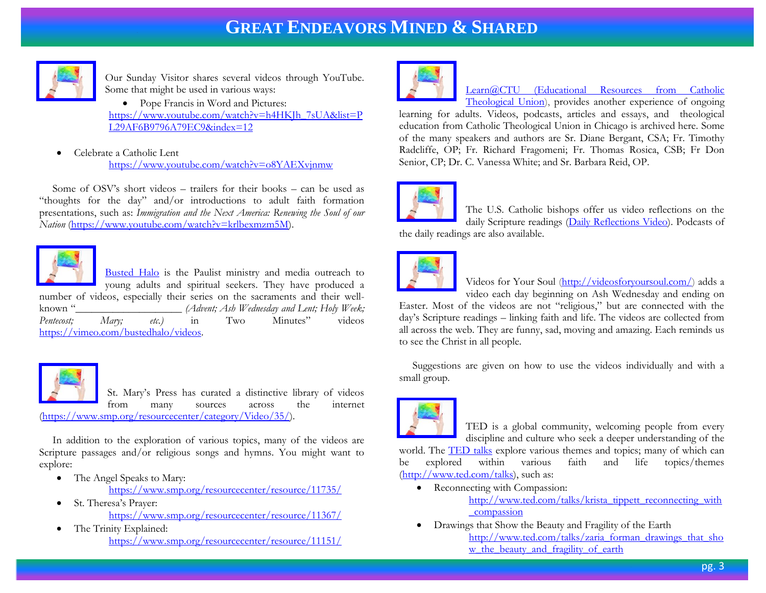

Our Sunday Visitor shares several videos through YouTube. Some that might be used in various ways:

• Pope Francis in Word and Pictures: [https://www.youtube.com/watch?v=h4HKJh\\_7sUA&list=P](https://www.youtube.com/watch?v=h4HKJh_7sUA&list=PL29AF6B9796A79EC9&index=12) [L29AF6B9796A79EC9&index=12](https://www.youtube.com/watch?v=h4HKJh_7sUA&list=PL29AF6B9796A79EC9&index=12)

 Celebrate a Catholic Lent <https://www.youtube.com/watch?v=o8YAEXvjnmw>

 Some of OSV's short videos – trailers for their books – can be used as "thoughts for the day" and/or introductions to adult faith formation presentations, such as: *Immigration and the Next America: Renewing the Soul of our Nation* [\(https://www.youtube.com/watch?v=krlbexmzm5M\)](https://www.youtube.com/watch?v=krlbexmzm5M).



[Busted Halo](http://bustedhalo.com/) is the Paulist ministry and media outreach to young adults and spiritual seekers. They have produced a number of videos, especially their series on the sacraments and their wellknown "\_\_\_\_\_\_\_\_\_\_\_\_\_\_\_\_\_\_\_\_ *(Advent; Ash Wednesday and Lent; Holy Week; Pentecost; Mary; etc.)* in Two Minutes" videos [https://vimeo.com/bustedhalo/videos.](https://vimeo.com/bustedhalo/videos)



St. Mary's Press has curated a distinctive library of videos from many sources across the internet

[\(https://www.smp.org/resourcecenter/category/Video/35/\)](https://www.smp.org/resourcecenter/category/Video/35/).

 In addition to the exploration of various topics, many of the videos are Scripture passages and/or religious songs and hymns. You might want to explore:

• The Angel Speaks to Mary:

<https://www.smp.org/resourcecenter/resource/11735/>

- St. Theresa's Prayer: <https://www.smp.org/resourcecenter/resource/11367/>
- The Trinity Explained: <https://www.smp.org/resourcecenter/resource/11151/>



### [Learn@CTU \(Educational Resources from Catholic](http://learn.ctu.edu/)  [Theological Union\)](http://learn.ctu.edu/), provides another experience of ongoing

learning for adults. Videos, podcasts, articles and essays, and theological education from Catholic Theological Union in Chicago is archived here. Some of the many speakers and authors are Sr. Diane Bergant, CSA; Fr. Timothy Radcliffe, OP; Fr. Richard Fragomeni; Fr. Thomas Rosica, CSB; Fr Don Senior, CP; Dr. C. Vanessa White; and Sr. Barbara Reid, OP.



The U.S. Catholic bishops offer us video reflections on the daily Scripture readings [\(Daily Reflections Video\)](http://www.usccb.org/bible/reflections/index.cfm). Podcasts of the daily readings are also available.

Videos for Your Soul [\(http://videosforyoursoul.com/\)](http://videosforyoursoul.com/) adds a video each day beginning on Ash Wednesday and ending on

Easter. Most of the videos are not "religious," but are connected with the day's Scripture readings – linking faith and life. The videos are collected from all across the web. They are funny, sad, moving and amazing. Each reminds us to see the Christ in all people.

 Suggestions are given on how to use the videos individually and with a small group.



TED is a global community, welcoming people from every discipline and culture who seek a deeper understanding of the

world. The **TED talks** explore various themes and topics; many of which can be explored within various faith and life topics/themes [\(http://www.ted.com/talks\)](http://www.ted.com/talks), such as:

- Reconnecting with Compassion: [http://www.ted.com/talks/krista\\_tippett\\_reconnecting\\_with](http://www.ted.com/talks/krista_tippett_reconnecting_with_compassion) [\\_compassion](http://www.ted.com/talks/krista_tippett_reconnecting_with_compassion)
- Drawings that Show the Beauty and Fragility of the Earth [http://www.ted.com/talks/zaria\\_forman\\_drawings\\_that\\_sho](http://www.ted.com/talks/zaria_forman_drawings_that_show_the_beauty_and_fragility_of_earth) w the beauty and fragility of earth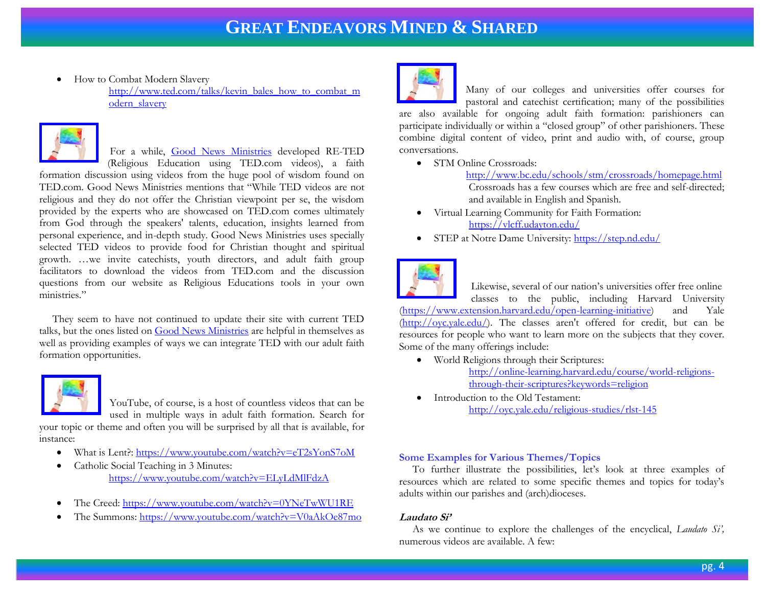• How to Combat Modern Slavery

[http://www.ted.com/talks/kevin\\_bales\\_how\\_to\\_combat\\_m](http://www.ted.com/talks/kevin_bales_how_to_combat_modern_slavery) [odern\\_slavery](http://www.ted.com/talks/kevin_bales_how_to_combat_modern_slavery)



For a while, [Good News Ministries](http://gnmforum.blogspot.com/search/label/RE-TED) developed RE-TED

(Religious Education using TED.com videos), a faith formation discussion using videos from the huge pool of wisdom found on TED.com. Good News Ministries mentions that "While TED videos are not religious and they do not offer the Christian viewpoint per se, the wisdom provided by the experts who are showcased on TED.com comes ultimately from God through the speakers' talents, education, insights learned from personal experience, and in-depth study. Good News Ministries uses specially selected TED videos to provide food for Christian thought and spiritual growth. …we invite catechists, youth directors, and adult faith group facilitators to download the videos from TED.com and the discussion questions from our website as Religious Educations tools in your own ministries."

 They seem to have not continued to update their site with current TED talks, but the ones listed on [Good News Ministries](http://gnmforum.blogspot.com/search/label/RE-TED) are helpful in themselves as well as providing examples of ways we can integrate TED with our adult faith formation opportunities.



YouTube, of course, is a host of countless videos that can be used in multiple ways in adult faith formation. Search for

your topic or theme and often you will be surprised by all that is available, for instance:

- What is Lent?:<https://www.youtube.com/watch?v=eT2sYonS7oM>
- Catholic Social Teaching in 3 Minutes: <https://www.youtube.com/watch?v=ELyLdMlFdzA>
- The Creed[: https://www.youtube.com/watch?v=0YNeTwWU1RE](https://www.youtube.com/watch?v=0YNeTwWU1RE)
- The Summons:<https://www.youtube.com/watch?v=V0aAkOe87mo>



Many of our colleges and universities offer courses for pastoral and catechist certification; many of the possibilities

are also available for ongoing adult faith formation: parishioners can participate individually or within a "closed group" of other parishioners. These combine digital content of video, print and audio with, of course, group conversations.

• STM Online Crossroads:

 <http://www.bc.edu/schools/stm/crossroads/homepage.html> Crossroads has a few courses which are free and self-directed; and available in English and Spanish.

- Virtual Learning Community for Faith Formation: <https://vlcff.udayton.edu/>
- STEP at Notre Dame University:<https://step.nd.edu/>



 Likewise, several of our nation's universities offer free online classes to the public, including Harvard University [\(https://www.extension.harvard.edu/open-learning-initiative\)](https://www.extension.harvard.edu/open-learning-initiative) and Yale [\(http://oyc.yale.edu/\)](http://oyc.yale.edu/). The classes aren't offered for credit, but can be resources for people who want to learn more on the subjects that they cover. Some of the many offerings include:

- World Religions through their Scriptures: [http://online-learning.harvard.edu/course/world-religions](http://online-learning.harvard.edu/course/world-religions-through-their-scriptures?keywords=religion)[through-their-scriptures?keywords=religion](http://online-learning.harvard.edu/course/world-religions-through-their-scriptures?keywords=religion)
- Introduction to the Old Testament: <http://oyc.yale.edu/religious-studies/rlst-145>

### **Some Examples for Various Themes/Topics**

 To further illustrate the possibilities, let's look at three examples of resources which are related to some specific themes and topics for today's adults within our parishes and (arch)dioceses.

### **Laudato Si'**

 As we continue to explore the challenges of the encyclical, *Laudato Si',* numerous videos are available. A few: